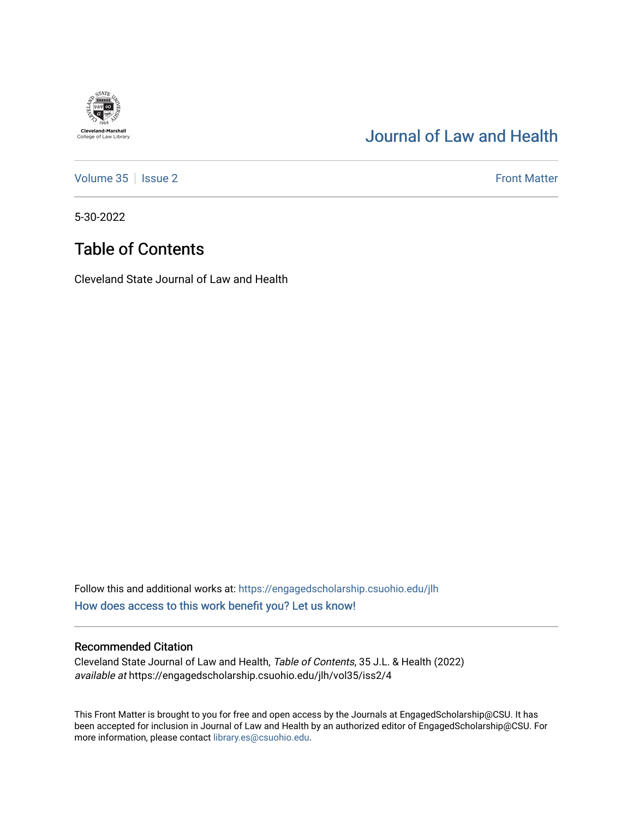## [Journal of Law and Health](https://engagedscholarship.csuohio.edu/jlh)

[Volume 35](https://engagedscholarship.csuohio.edu/jlh/vol35) | [Issue 2](https://engagedscholarship.csuohio.edu/jlh/vol35/iss2) Front Matter

5-30-2022

**Cleveland-Marshall**<br>College of Law Library

## Table of Contents

Cleveland State Journal of Law and Health

Follow this and additional works at: [https://engagedscholarship.csuohio.edu/jlh](https://engagedscholarship.csuohio.edu/jlh?utm_source=engagedscholarship.csuohio.edu%2Fjlh%2Fvol35%2Fiss2%2F4&utm_medium=PDF&utm_campaign=PDFCoverPages)  [How does access to this work benefit you? Let us know!](http://library.csuohio.edu/engaged/)

### Recommended Citation

Cleveland State Journal of Law and Health, Table of Contents, 35 J.L. & Health (2022) available at https://engagedscholarship.csuohio.edu/jlh/vol35/iss2/4

This Front Matter is brought to you for free and open access by the Journals at EngagedScholarship@CSU. It has been accepted for inclusion in Journal of Law and Health by an authorized editor of EngagedScholarship@CSU. For more information, please contact [library.es@csuohio.edu](mailto:library.es@csuohio.edu).